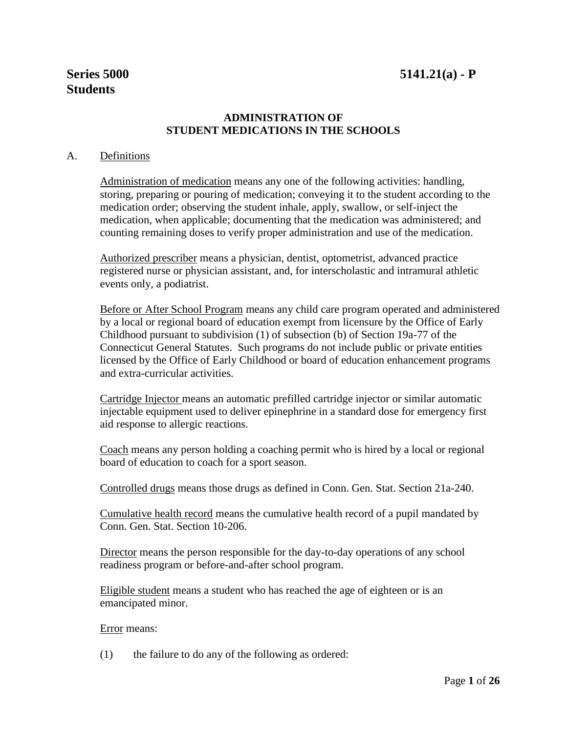# **ADMINISTRATION OF STUDENT MEDICATIONS IN THE SCHOOLS**

#### A. Definitions

Administration of medication means any one of the following activities: handling, storing, preparing or pouring of medication; conveying it to the student according to the medication order; observing the student inhale, apply, swallow, or self-inject the medication, when applicable; documenting that the medication was administered; and counting remaining doses to verify proper administration and use of the medication.

Authorized prescriber means a physician, dentist, optometrist, advanced practice registered nurse or physician assistant, and, for interscholastic and intramural athletic events only, a podiatrist.

Before or After School Program means any child care program operated and administered by a local or regional board of education exempt from licensure by the Office of Early Childhood pursuant to subdivision (1) of subsection (b) of Section 19a-77 of the Connecticut General Statutes. Such programs do not include public or private entities licensed by the Office of Early Childhood or board of education enhancement programs and extra-curricular activities.

Cartridge Injector means an automatic prefilled cartridge injector or similar automatic injectable equipment used to deliver epinephrine in a standard dose for emergency first aid response to allergic reactions.

Coach means any person holding a coaching permit who is hired by a local or regional board of education to coach for a sport season.

Controlled drugs means those drugs as defined in Conn. Gen. Stat. Section 21a-240.

Cumulative health record means the cumulative health record of a pupil mandated by Conn. Gen. Stat. Section 10-206.

Director means the person responsible for the day-to-day operations of any school readiness program or before-and-after school program.

Eligible student means a student who has reached the age of eighteen or is an emancipated minor.

#### Error means:

(1) the failure to do any of the following as ordered: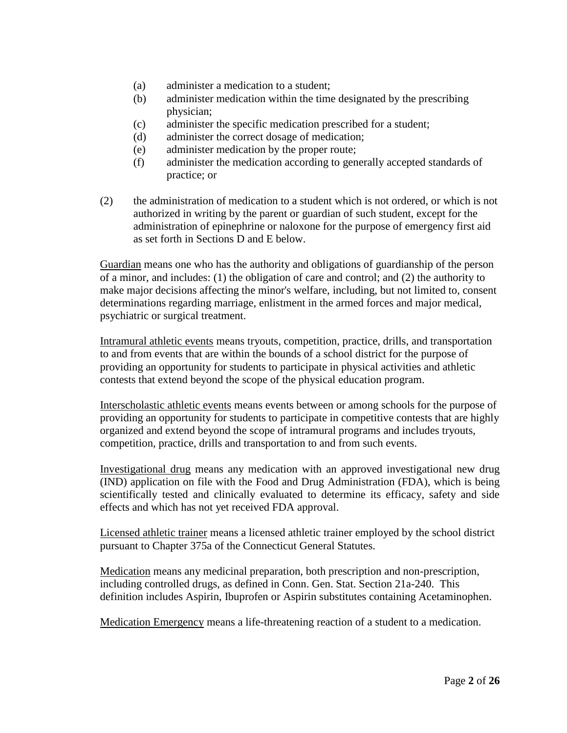- (a) administer a medication to a student;
- (b) administer medication within the time designated by the prescribing physician;
- (c) administer the specific medication prescribed for a student;
- (d) administer the correct dosage of medication;
- (e) administer medication by the proper route;
- (f) administer the medication according to generally accepted standards of practice; or
- (2) the administration of medication to a student which is not ordered, or which is not authorized in writing by the parent or guardian of such student, except for the administration of epinephrine or naloxone for the purpose of emergency first aid as set forth in Sections D and E below.

Guardian means one who has the authority and obligations of guardianship of the person of a minor, and includes: (1) the obligation of care and control; and (2) the authority to make major decisions affecting the minor's welfare, including, but not limited to, consent determinations regarding marriage, enlistment in the armed forces and major medical, psychiatric or surgical treatment.

Intramural athletic events means tryouts, competition, practice, drills, and transportation to and from events that are within the bounds of a school district for the purpose of providing an opportunity for students to participate in physical activities and athletic contests that extend beyond the scope of the physical education program.

Interscholastic athletic events means events between or among schools for the purpose of providing an opportunity for students to participate in competitive contests that are highly organized and extend beyond the scope of intramural programs and includes tryouts, competition, practice, drills and transportation to and from such events.

Investigational drug means any medication with an approved investigational new drug (IND) application on file with the Food and Drug Administration (FDA), which is being scientifically tested and clinically evaluated to determine its efficacy, safety and side effects and which has not yet received FDA approval.

Licensed athletic trainer means a licensed athletic trainer employed by the school district pursuant to Chapter 375a of the Connecticut General Statutes.

Medication means any medicinal preparation, both prescription and non-prescription, including controlled drugs, as defined in Conn. Gen. Stat. Section 21a-240. This definition includes Aspirin, Ibuprofen or Aspirin substitutes containing Acetaminophen.

Medication Emergency means a life-threatening reaction of a student to a medication.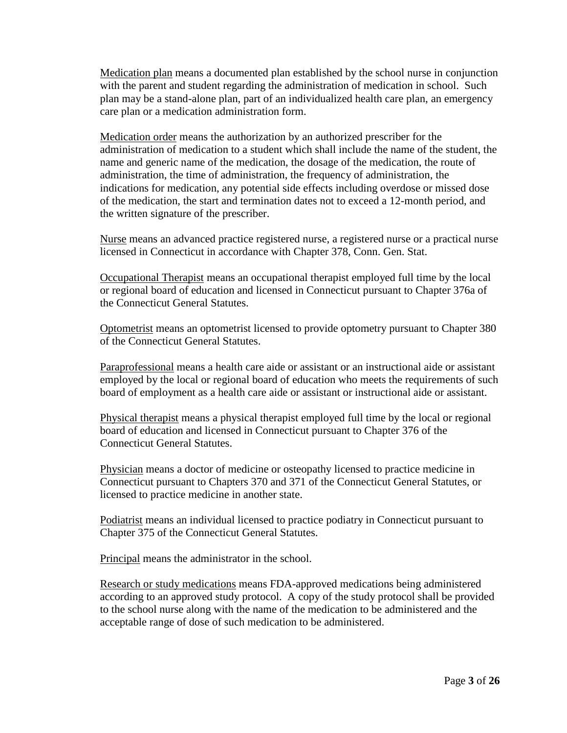Medication plan means a documented plan established by the school nurse in conjunction with the parent and student regarding the administration of medication in school. Such plan may be a stand-alone plan, part of an individualized health care plan, an emergency care plan or a medication administration form.

Medication order means the authorization by an authorized prescriber for the administration of medication to a student which shall include the name of the student, the name and generic name of the medication, the dosage of the medication, the route of administration, the time of administration, the frequency of administration, the indications for medication, any potential side effects including overdose or missed dose of the medication, the start and termination dates not to exceed a 12-month period, and the written signature of the prescriber.

Nurse means an advanced practice registered nurse, a registered nurse or a practical nurse licensed in Connecticut in accordance with Chapter 378, Conn. Gen. Stat.

Occupational Therapist means an occupational therapist employed full time by the local or regional board of education and licensed in Connecticut pursuant to Chapter 376a of the Connecticut General Statutes.

Optometrist means an optometrist licensed to provide optometry pursuant to Chapter 380 of the Connecticut General Statutes.

Paraprofessional means a health care aide or assistant or an instructional aide or assistant employed by the local or regional board of education who meets the requirements of such board of employment as a health care aide or assistant or instructional aide or assistant.

Physical therapist means a physical therapist employed full time by the local or regional board of education and licensed in Connecticut pursuant to Chapter 376 of the Connecticut General Statutes.

Physician means a doctor of medicine or osteopathy licensed to practice medicine in Connecticut pursuant to Chapters 370 and 371 of the Connecticut General Statutes, or licensed to practice medicine in another state.

Podiatrist means an individual licensed to practice podiatry in Connecticut pursuant to Chapter 375 of the Connecticut General Statutes.

Principal means the administrator in the school.

Research or study medications means FDA-approved medications being administered according to an approved study protocol. A copy of the study protocol shall be provided to the school nurse along with the name of the medication to be administered and the acceptable range of dose of such medication to be administered.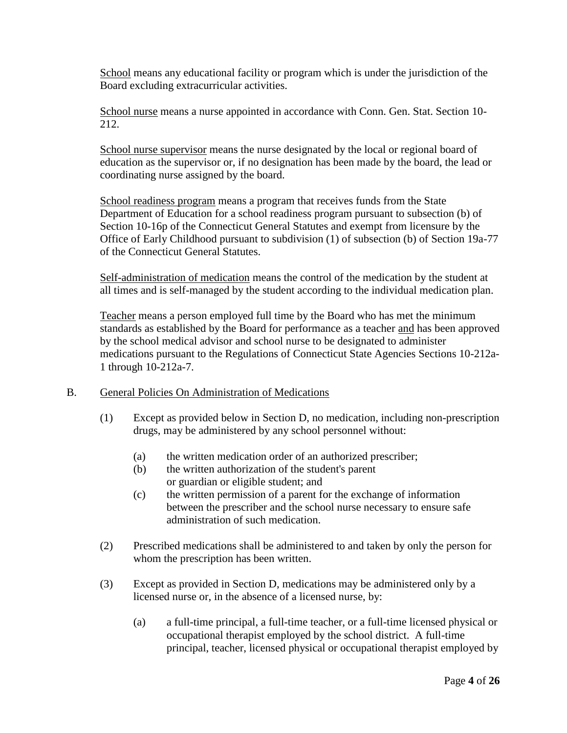School means any educational facility or program which is under the jurisdiction of the Board excluding extracurricular activities.

School nurse means a nurse appointed in accordance with Conn. Gen. Stat. Section 10- 212.

School nurse supervisor means the nurse designated by the local or regional board of education as the supervisor or, if no designation has been made by the board, the lead or coordinating nurse assigned by the board.

School readiness program means a program that receives funds from the State Department of Education for a school readiness program pursuant to subsection (b) of Section 10-16p of the Connecticut General Statutes and exempt from licensure by the Office of Early Childhood pursuant to subdivision (1) of subsection (b) of Section 19a-77 of the Connecticut General Statutes.

Self-administration of medication means the control of the medication by the student at all times and is self-managed by the student according to the individual medication plan.

Teacher means a person employed full time by the Board who has met the minimum standards as established by the Board for performance as a teacher and has been approved by the school medical advisor and school nurse to be designated to administer medications pursuant to the Regulations of Connecticut State Agencies Sections 10-212a-1 through 10-212a-7.

#### B. General Policies On Administration of Medications

- (1) Except as provided below in Section D, no medication, including non-prescription drugs, may be administered by any school personnel without:
	- (a) the written medication order of an authorized prescriber;
	- (b) the written authorization of the student's parent or guardian or eligible student; and
	- (c) the written permission of a parent for the exchange of information between the prescriber and the school nurse necessary to ensure safe administration of such medication.
- (2) Prescribed medications shall be administered to and taken by only the person for whom the prescription has been written.
- (3) Except as provided in Section D, medications may be administered only by a licensed nurse or, in the absence of a licensed nurse, by:
	- (a) a full-time principal, a full-time teacher, or a full-time licensed physical or occupational therapist employed by the school district. A full-time principal, teacher, licensed physical or occupational therapist employed by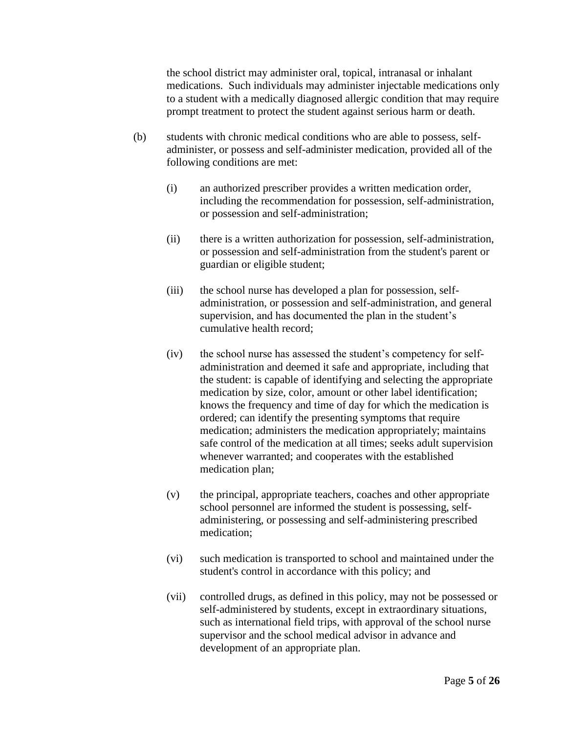the school district may administer oral, topical, intranasal or inhalant medications. Such individuals may administer injectable medications only to a student with a medically diagnosed allergic condition that may require prompt treatment to protect the student against serious harm or death.

- (b) students with chronic medical conditions who are able to possess, selfadminister, or possess and self-administer medication, provided all of the following conditions are met:
	- (i) an authorized prescriber provides a written medication order, including the recommendation for possession, self-administration, or possession and self-administration;
	- (ii) there is a written authorization for possession, self-administration, or possession and self-administration from the student's parent or guardian or eligible student;
	- (iii) the school nurse has developed a plan for possession, selfadministration, or possession and self-administration, and general supervision, and has documented the plan in the student's cumulative health record;
	- (iv) the school nurse has assessed the student's competency for selfadministration and deemed it safe and appropriate, including that the student: is capable of identifying and selecting the appropriate medication by size, color, amount or other label identification; knows the frequency and time of day for which the medication is ordered; can identify the presenting symptoms that require medication; administers the medication appropriately; maintains safe control of the medication at all times; seeks adult supervision whenever warranted; and cooperates with the established medication plan;
	- (v) the principal, appropriate teachers, coaches and other appropriate school personnel are informed the student is possessing, selfadministering, or possessing and self-administering prescribed medication;
	- (vi) such medication is transported to school and maintained under the student's control in accordance with this policy; and
	- (vii) controlled drugs, as defined in this policy, may not be possessed or self-administered by students, except in extraordinary situations, such as international field trips, with approval of the school nurse supervisor and the school medical advisor in advance and development of an appropriate plan.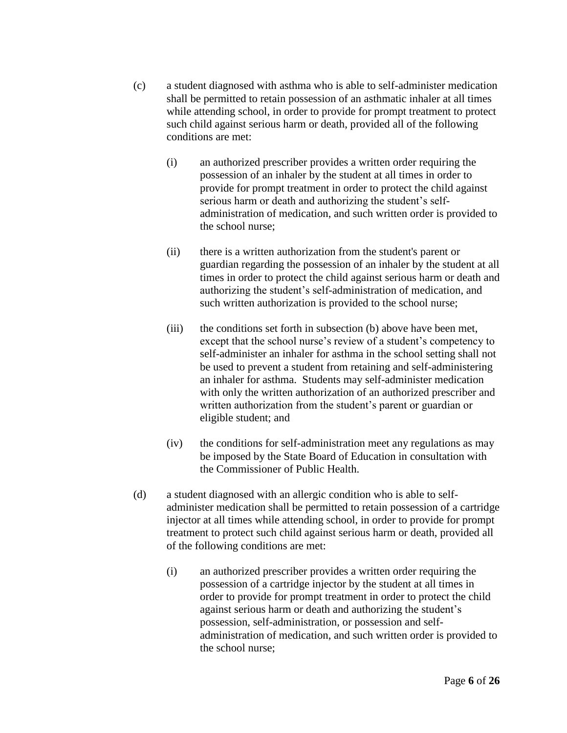- (c) a student diagnosed with asthma who is able to self-administer medication shall be permitted to retain possession of an asthmatic inhaler at all times while attending school, in order to provide for prompt treatment to protect such child against serious harm or death, provided all of the following conditions are met:
	- (i) an authorized prescriber provides a written order requiring the possession of an inhaler by the student at all times in order to provide for prompt treatment in order to protect the child against serious harm or death and authorizing the student's selfadministration of medication, and such written order is provided to the school nurse;
	- (ii) there is a written authorization from the student's parent or guardian regarding the possession of an inhaler by the student at all times in order to protect the child against serious harm or death and authorizing the student's self-administration of medication, and such written authorization is provided to the school nurse;
	- (iii) the conditions set forth in subsection (b) above have been met, except that the school nurse's review of a student's competency to self-administer an inhaler for asthma in the school setting shall not be used to prevent a student from retaining and self-administering an inhaler for asthma. Students may self-administer medication with only the written authorization of an authorized prescriber and written authorization from the student's parent or guardian or eligible student; and
	- (iv) the conditions for self-administration meet any regulations as may be imposed by the State Board of Education in consultation with the Commissioner of Public Health.
- (d) a student diagnosed with an allergic condition who is able to selfadminister medication shall be permitted to retain possession of a cartridge injector at all times while attending school, in order to provide for prompt treatment to protect such child against serious harm or death, provided all of the following conditions are met:
	- (i) an authorized prescriber provides a written order requiring the possession of a cartridge injector by the student at all times in order to provide for prompt treatment in order to protect the child against serious harm or death and authorizing the student's possession, self-administration, or possession and selfadministration of medication, and such written order is provided to the school nurse;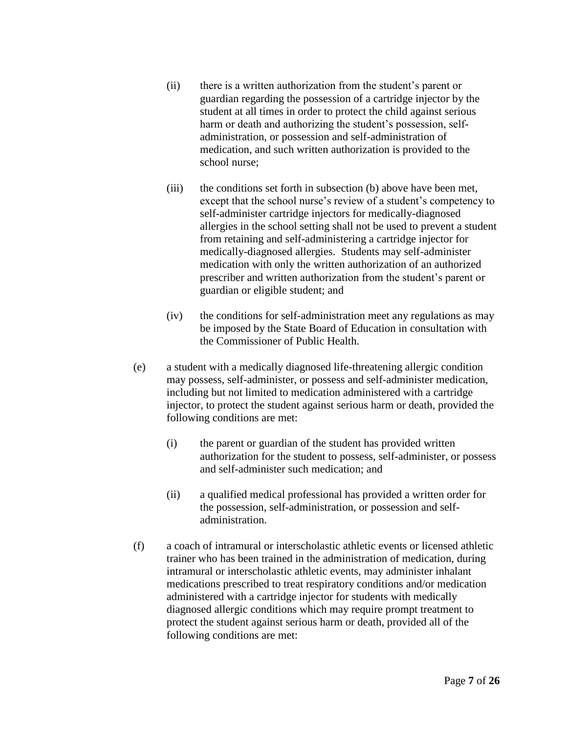- (ii) there is a written authorization from the student's parent or guardian regarding the possession of a cartridge injector by the student at all times in order to protect the child against serious harm or death and authorizing the student's possession, selfadministration, or possession and self-administration of medication, and such written authorization is provided to the school nurse;
- (iii) the conditions set forth in subsection (b) above have been met, except that the school nurse's review of a student's competency to self-administer cartridge injectors for medically-diagnosed allergies in the school setting shall not be used to prevent a student from retaining and self-administering a cartridge injector for medically-diagnosed allergies. Students may self-administer medication with only the written authorization of an authorized prescriber and written authorization from the student's parent or guardian or eligible student; and
- (iv) the conditions for self-administration meet any regulations as may be imposed by the State Board of Education in consultation with the Commissioner of Public Health.
- (e) a student with a medically diagnosed life-threatening allergic condition may possess, self-administer, or possess and self-administer medication, including but not limited to medication administered with a cartridge injector, to protect the student against serious harm or death, provided the following conditions are met:
	- (i) the parent or guardian of the student has provided written authorization for the student to possess, self-administer, or possess and self-administer such medication; and
	- (ii) a qualified medical professional has provided a written order for the possession, self-administration, or possession and selfadministration.
- (f) a coach of intramural or interscholastic athletic events or licensed athletic trainer who has been trained in the administration of medication, during intramural or interscholastic athletic events, may administer inhalant medications prescribed to treat respiratory conditions and/or medication administered with a cartridge injector for students with medically diagnosed allergic conditions which may require prompt treatment to protect the student against serious harm or death, provided all of the following conditions are met: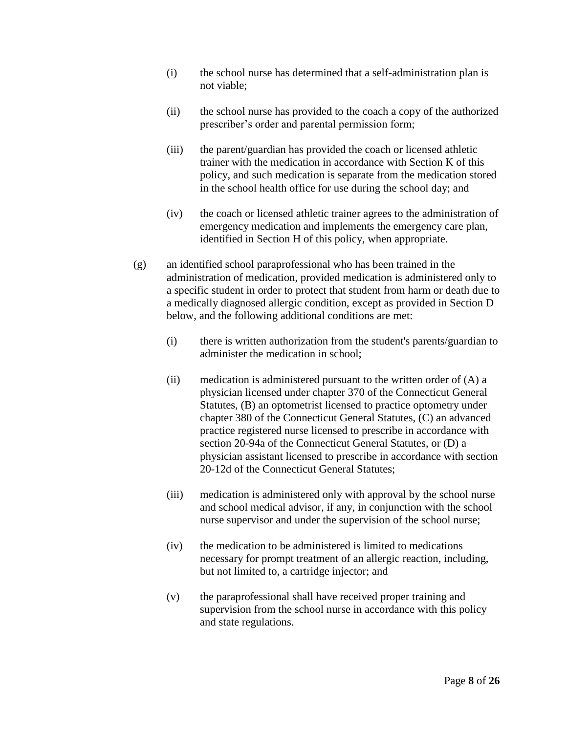- (i) the school nurse has determined that a self-administration plan is not viable;
- (ii) the school nurse has provided to the coach a copy of the authorized prescriber's order and parental permission form;
- (iii) the parent/guardian has provided the coach or licensed athletic trainer with the medication in accordance with Section K of this policy, and such medication is separate from the medication stored in the school health office for use during the school day; and
- (iv) the coach or licensed athletic trainer agrees to the administration of emergency medication and implements the emergency care plan, identified in Section H of this policy, when appropriate.
- (g) an identified school paraprofessional who has been trained in the administration of medication, provided medication is administered only to a specific student in order to protect that student from harm or death due to a medically diagnosed allergic condition, except as provided in Section D below, and the following additional conditions are met:
	- (i) there is written authorization from the student's parents/guardian to administer the medication in school;
	- (ii) medication is administered pursuant to the written order of  $(A)$  a physician licensed under chapter 370 of the Connecticut General Statutes, (B) an optometrist licensed to practice optometry under chapter 380 of the Connecticut General Statutes, (C) an advanced practice registered nurse licensed to prescribe in accordance with section 20-94a of the Connecticut General Statutes, or (D) a physician assistant licensed to prescribe in accordance with section 20-12d of the Connecticut General Statutes;
	- (iii) medication is administered only with approval by the school nurse and school medical advisor, if any, in conjunction with the school nurse supervisor and under the supervision of the school nurse;
	- (iv) the medication to be administered is limited to medications necessary for prompt treatment of an allergic reaction, including, but not limited to, a cartridge injector; and
	- (v) the paraprofessional shall have received proper training and supervision from the school nurse in accordance with this policy and state regulations.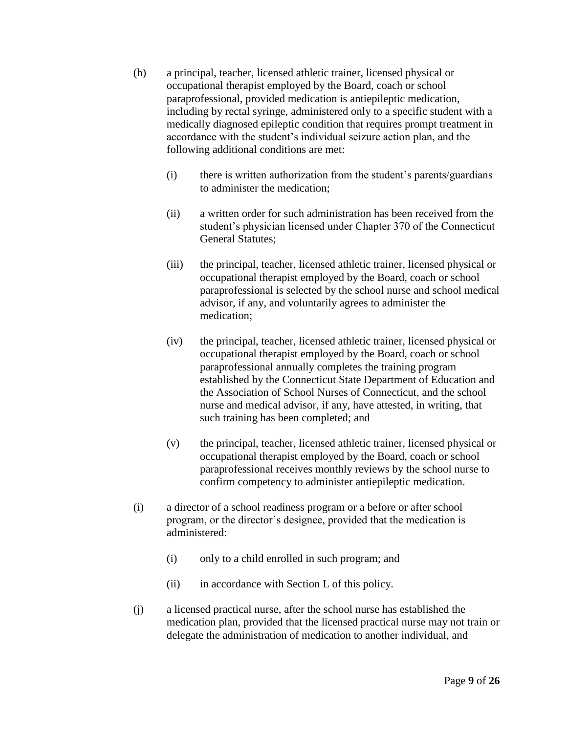- (h) a principal, teacher, licensed athletic trainer, licensed physical or occupational therapist employed by the Board, coach or school paraprofessional, provided medication is antiepileptic medication, including by rectal syringe, administered only to a specific student with a medically diagnosed epileptic condition that requires prompt treatment in accordance with the student's individual seizure action plan, and the following additional conditions are met:
	- (i) there is written authorization from the student's parents/guardians to administer the medication;
	- (ii) a written order for such administration has been received from the student's physician licensed under Chapter 370 of the Connecticut General Statutes;
	- (iii) the principal, teacher, licensed athletic trainer, licensed physical or occupational therapist employed by the Board, coach or school paraprofessional is selected by the school nurse and school medical advisor, if any, and voluntarily agrees to administer the medication;
	- (iv) the principal, teacher, licensed athletic trainer, licensed physical or occupational therapist employed by the Board, coach or school paraprofessional annually completes the training program established by the Connecticut State Department of Education and the Association of School Nurses of Connecticut, and the school nurse and medical advisor, if any, have attested, in writing, that such training has been completed; and
	- (v) the principal, teacher, licensed athletic trainer, licensed physical or occupational therapist employed by the Board, coach or school paraprofessional receives monthly reviews by the school nurse to confirm competency to administer antiepileptic medication.
- (i) a director of a school readiness program or a before or after school program, or the director's designee, provided that the medication is administered:
	- (i) only to a child enrolled in such program; and
	- (ii) in accordance with Section L of this policy.
- (j) a licensed practical nurse, after the school nurse has established the medication plan, provided that the licensed practical nurse may not train or delegate the administration of medication to another individual, and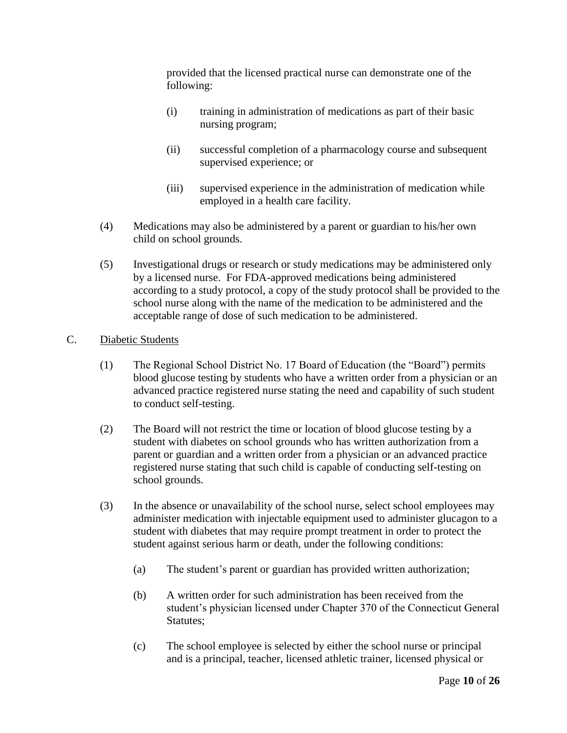provided that the licensed practical nurse can demonstrate one of the following:

- (i) training in administration of medications as part of their basic nursing program;
- (ii) successful completion of a pharmacology course and subsequent supervised experience; or
- (iii) supervised experience in the administration of medication while employed in a health care facility.
- (4) Medications may also be administered by a parent or guardian to his/her own child on school grounds.
- (5) Investigational drugs or research or study medications may be administered only by a licensed nurse. For FDA-approved medications being administered according to a study protocol, a copy of the study protocol shall be provided to the school nurse along with the name of the medication to be administered and the acceptable range of dose of such medication to be administered.

## C. Diabetic Students

- (1) The Regional School District No. 17 Board of Education (the "Board") permits blood glucose testing by students who have a written order from a physician or an advanced practice registered nurse stating the need and capability of such student to conduct self-testing.
- (2) The Board will not restrict the time or location of blood glucose testing by a student with diabetes on school grounds who has written authorization from a parent or guardian and a written order from a physician or an advanced practice registered nurse stating that such child is capable of conducting self-testing on school grounds.
- (3) In the absence or unavailability of the school nurse, select school employees may administer medication with injectable equipment used to administer glucagon to a student with diabetes that may require prompt treatment in order to protect the student against serious harm or death, under the following conditions:
	- (a) The student's parent or guardian has provided written authorization;
	- (b) A written order for such administration has been received from the student's physician licensed under Chapter 370 of the Connecticut General Statutes;
	- (c) The school employee is selected by either the school nurse or principal and is a principal, teacher, licensed athletic trainer, licensed physical or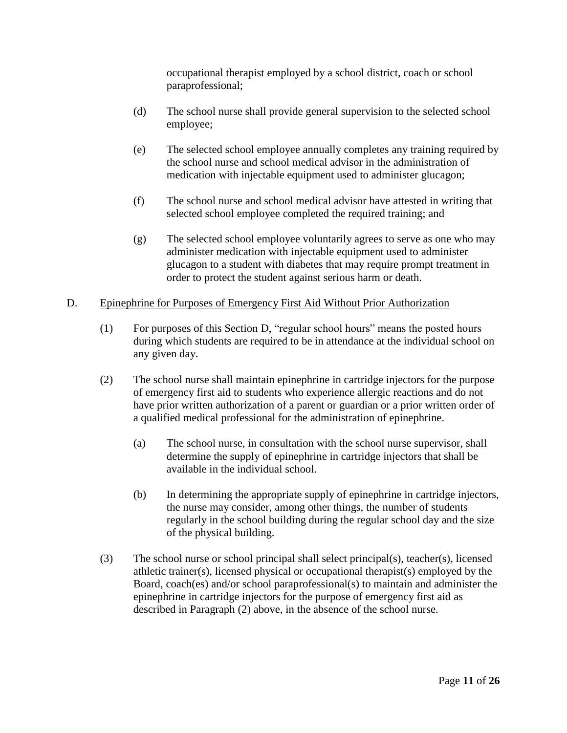occupational therapist employed by a school district, coach or school paraprofessional;

- (d) The school nurse shall provide general supervision to the selected school employee;
- (e) The selected school employee annually completes any training required by the school nurse and school medical advisor in the administration of medication with injectable equipment used to administer glucagon;
- (f) The school nurse and school medical advisor have attested in writing that selected school employee completed the required training; and
- (g) The selected school employee voluntarily agrees to serve as one who may administer medication with injectable equipment used to administer glucagon to a student with diabetes that may require prompt treatment in order to protect the student against serious harm or death.

## D. Epinephrine for Purposes of Emergency First Aid Without Prior Authorization

- (1) For purposes of this Section D, "regular school hours" means the posted hours during which students are required to be in attendance at the individual school on any given day.
- (2) The school nurse shall maintain epinephrine in cartridge injectors for the purpose of emergency first aid to students who experience allergic reactions and do not have prior written authorization of a parent or guardian or a prior written order of a qualified medical professional for the administration of epinephrine.
	- (a) The school nurse, in consultation with the school nurse supervisor, shall determine the supply of epinephrine in cartridge injectors that shall be available in the individual school.
	- (b) In determining the appropriate supply of epinephrine in cartridge injectors, the nurse may consider, among other things, the number of students regularly in the school building during the regular school day and the size of the physical building.
- (3) The school nurse or school principal shall select principal(s), teacher(s), licensed athletic trainer(s), licensed physical or occupational therapist(s) employed by the Board, coach(es) and/or school paraprofessional(s) to maintain and administer the epinephrine in cartridge injectors for the purpose of emergency first aid as described in Paragraph (2) above, in the absence of the school nurse.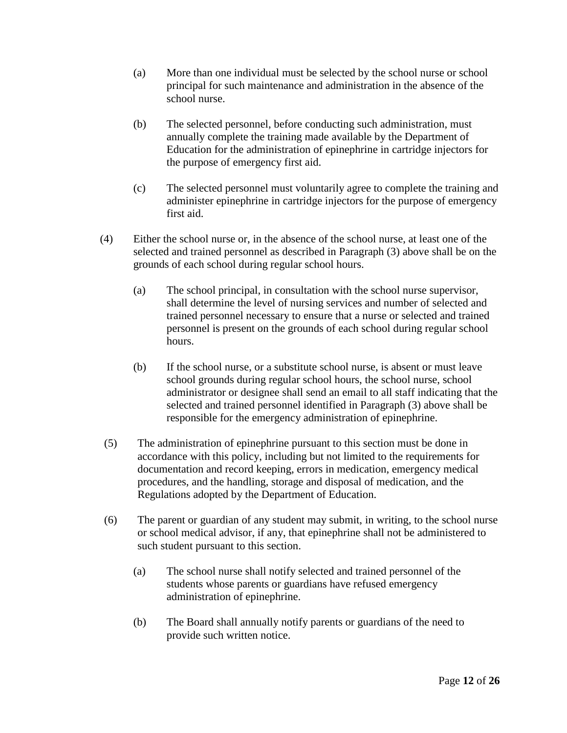- (a) More than one individual must be selected by the school nurse or school principal for such maintenance and administration in the absence of the school nurse.
- (b) The selected personnel, before conducting such administration, must annually complete the training made available by the Department of Education for the administration of epinephrine in cartridge injectors for the purpose of emergency first aid.
- (c) The selected personnel must voluntarily agree to complete the training and administer epinephrine in cartridge injectors for the purpose of emergency first aid.
- (4) Either the school nurse or, in the absence of the school nurse, at least one of the selected and trained personnel as described in Paragraph (3) above shall be on the grounds of each school during regular school hours.
	- (a) The school principal, in consultation with the school nurse supervisor, shall determine the level of nursing services and number of selected and trained personnel necessary to ensure that a nurse or selected and trained personnel is present on the grounds of each school during regular school hours.
	- (b) If the school nurse, or a substitute school nurse, is absent or must leave school grounds during regular school hours, the school nurse, school administrator or designee shall send an email to all staff indicating that the selected and trained personnel identified in Paragraph (3) above shall be responsible for the emergency administration of epinephrine.
- (5) The administration of epinephrine pursuant to this section must be done in accordance with this policy, including but not limited to the requirements for documentation and record keeping, errors in medication, emergency medical procedures, and the handling, storage and disposal of medication, and the Regulations adopted by the Department of Education.
- (6) The parent or guardian of any student may submit, in writing, to the school nurse or school medical advisor, if any, that epinephrine shall not be administered to such student pursuant to this section.
	- (a) The school nurse shall notify selected and trained personnel of the students whose parents or guardians have refused emergency administration of epinephrine.
	- (b) The Board shall annually notify parents or guardians of the need to provide such written notice.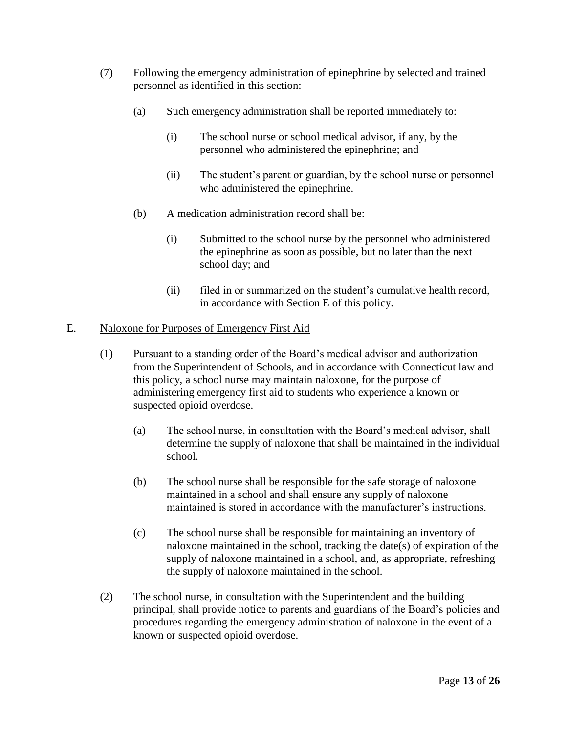- (7) Following the emergency administration of epinephrine by selected and trained personnel as identified in this section:
	- (a) Such emergency administration shall be reported immediately to:
		- (i) The school nurse or school medical advisor, if any, by the personnel who administered the epinephrine; and
		- (ii) The student's parent or guardian, by the school nurse or personnel who administered the epinephrine.
	- (b) A medication administration record shall be:
		- (i) Submitted to the school nurse by the personnel who administered the epinephrine as soon as possible, but no later than the next school day; and
		- (ii) filed in or summarized on the student's cumulative health record, in accordance with Section E of this policy.

#### E. Naloxone for Purposes of Emergency First Aid

- (1) Pursuant to a standing order of the Board's medical advisor and authorization from the Superintendent of Schools, and in accordance with Connecticut law and this policy, a school nurse may maintain naloxone, for the purpose of administering emergency first aid to students who experience a known or suspected opioid overdose.
	- (a) The school nurse, in consultation with the Board's medical advisor, shall determine the supply of naloxone that shall be maintained in the individual school.
	- (b) The school nurse shall be responsible for the safe storage of naloxone maintained in a school and shall ensure any supply of naloxone maintained is stored in accordance with the manufacturer's instructions.
	- (c) The school nurse shall be responsible for maintaining an inventory of naloxone maintained in the school, tracking the date(s) of expiration of the supply of naloxone maintained in a school, and, as appropriate, refreshing the supply of naloxone maintained in the school.
- (2) The school nurse, in consultation with the Superintendent and the building principal, shall provide notice to parents and guardians of the Board's policies and procedures regarding the emergency administration of naloxone in the event of a known or suspected opioid overdose.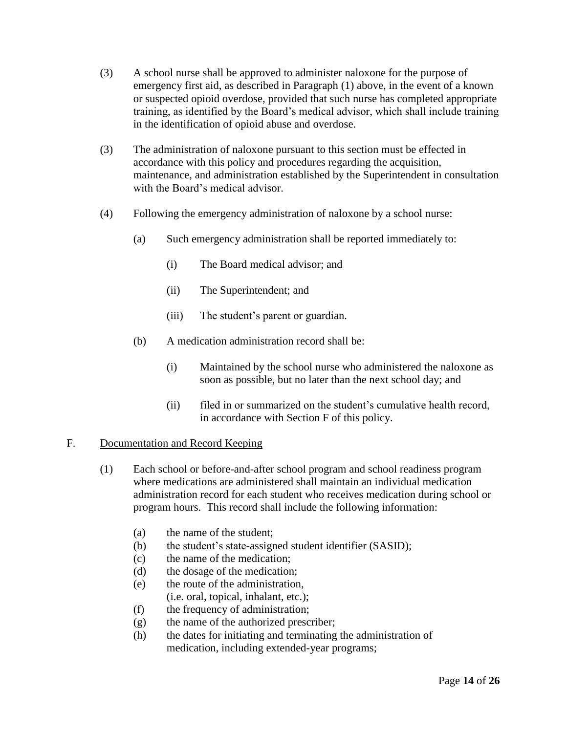- (3) A school nurse shall be approved to administer naloxone for the purpose of emergency first aid, as described in Paragraph (1) above, in the event of a known or suspected opioid overdose, provided that such nurse has completed appropriate training, as identified by the Board's medical advisor, which shall include training in the identification of opioid abuse and overdose.
- (3) The administration of naloxone pursuant to this section must be effected in accordance with this policy and procedures regarding the acquisition, maintenance, and administration established by the Superintendent in consultation with the Board's medical advisor.
- (4) Following the emergency administration of naloxone by a school nurse:
	- (a) Such emergency administration shall be reported immediately to:
		- (i) The Board medical advisor; and
		- (ii) The Superintendent; and
		- (iii) The student's parent or guardian.
	- (b) A medication administration record shall be:
		- (i) Maintained by the school nurse who administered the naloxone as soon as possible, but no later than the next school day; and
		- (ii) filed in or summarized on the student's cumulative health record, in accordance with Section F of this policy.

#### F. Documentation and Record Keeping

- (1) Each school or before-and-after school program and school readiness program where medications are administered shall maintain an individual medication administration record for each student who receives medication during school or program hours. This record shall include the following information:
	- (a) the name of the student;
	- (b) the student's state-assigned student identifier (SASID);
	- (c) the name of the medication;
	- (d) the dosage of the medication;
	- (e) the route of the administration,
		- (i.e. oral, topical, inhalant, etc.);
	- (f) the frequency of administration;
	- (g) the name of the authorized prescriber;
	- (h) the dates for initiating and terminating the administration of medication, including extended-year programs;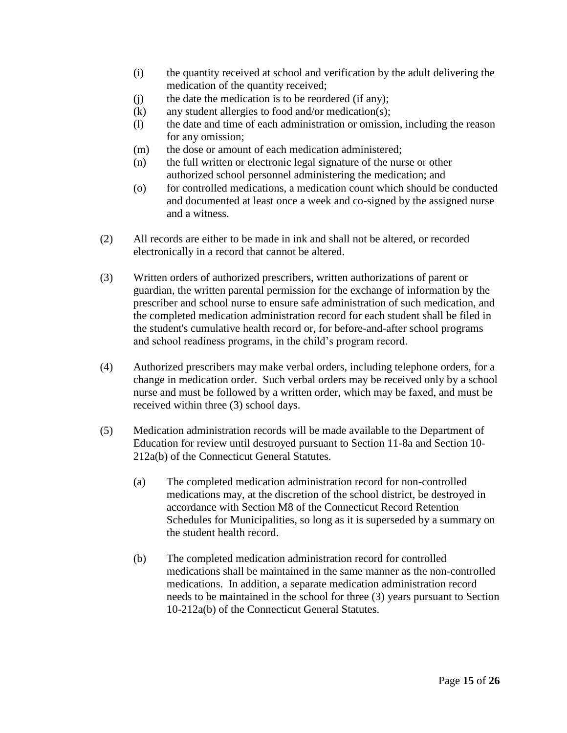- (i) the quantity received at school and verification by the adult delivering the medication of the quantity received;
- (j) the date the medication is to be reordered (if any);
- (k) any student allergies to food and/or medication(s);
- (l) the date and time of each administration or omission, including the reason for any omission;
- (m) the dose or amount of each medication administered;
- (n) the full written or electronic legal signature of the nurse or other authorized school personnel administering the medication; and
- (o) for controlled medications, a medication count which should be conducted and documented at least once a week and co-signed by the assigned nurse and a witness.
- (2) All records are either to be made in ink and shall not be altered, or recorded electronically in a record that cannot be altered.
- (3) Written orders of authorized prescribers, written authorizations of parent or guardian, the written parental permission for the exchange of information by the prescriber and school nurse to ensure safe administration of such medication, and the completed medication administration record for each student shall be filed in the student's cumulative health record or, for before-and-after school programs and school readiness programs, in the child's program record.
- (4) Authorized prescribers may make verbal orders, including telephone orders, for a change in medication order. Such verbal orders may be received only by a school nurse and must be followed by a written order, which may be faxed, and must be received within three (3) school days.
- (5) Medication administration records will be made available to the Department of Education for review until destroyed pursuant to Section 11-8a and Section 10- 212a(b) of the Connecticut General Statutes.
	- (a) The completed medication administration record for non-controlled medications may, at the discretion of the school district, be destroyed in accordance with Section M8 of the Connecticut Record Retention Schedules for Municipalities, so long as it is superseded by a summary on the student health record.
	- (b) The completed medication administration record for controlled medications shall be maintained in the same manner as the non-controlled medications. In addition, a separate medication administration record needs to be maintained in the school for three (3) years pursuant to Section 10-212a(b) of the Connecticut General Statutes.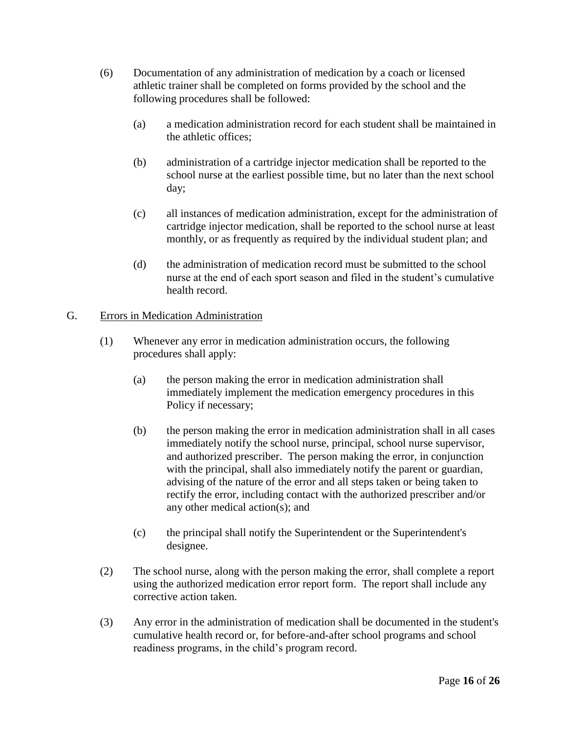- (6) Documentation of any administration of medication by a coach or licensed athletic trainer shall be completed on forms provided by the school and the following procedures shall be followed:
	- (a) a medication administration record for each student shall be maintained in the athletic offices;
	- (b) administration of a cartridge injector medication shall be reported to the school nurse at the earliest possible time, but no later than the next school day;
	- (c) all instances of medication administration, except for the administration of cartridge injector medication, shall be reported to the school nurse at least monthly, or as frequently as required by the individual student plan; and
	- (d) the administration of medication record must be submitted to the school nurse at the end of each sport season and filed in the student's cumulative health record.

# G. Errors in Medication Administration

- (1) Whenever any error in medication administration occurs, the following procedures shall apply:
	- (a) the person making the error in medication administration shall immediately implement the medication emergency procedures in this Policy if necessary;
	- (b) the person making the error in medication administration shall in all cases immediately notify the school nurse, principal, school nurse supervisor, and authorized prescriber. The person making the error, in conjunction with the principal, shall also immediately notify the parent or guardian, advising of the nature of the error and all steps taken or being taken to rectify the error, including contact with the authorized prescriber and/or any other medical action(s); and
	- (c) the principal shall notify the Superintendent or the Superintendent's designee.
- (2) The school nurse, along with the person making the error, shall complete a report using the authorized medication error report form. The report shall include any corrective action taken.
- (3) Any error in the administration of medication shall be documented in the student's cumulative health record or, for before-and-after school programs and school readiness programs, in the child's program record.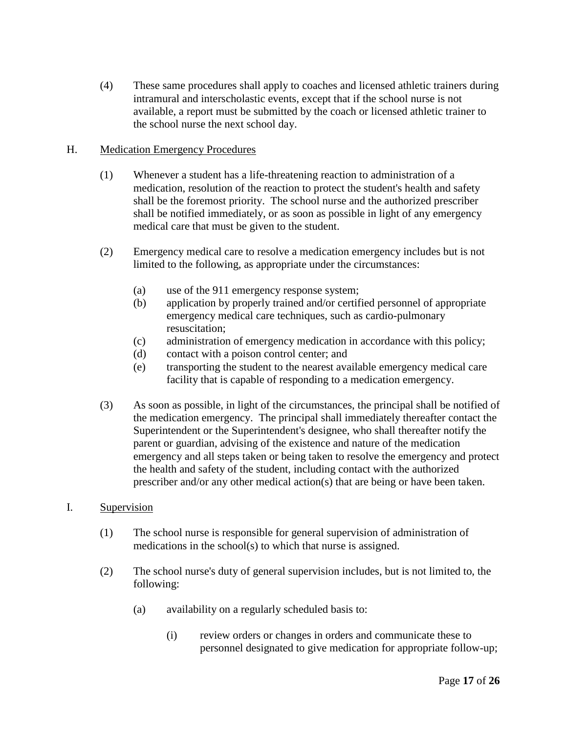(4) These same procedures shall apply to coaches and licensed athletic trainers during intramural and interscholastic events, except that if the school nurse is not available, a report must be submitted by the coach or licensed athletic trainer to the school nurse the next school day.

## H. Medication Emergency Procedures

- (1) Whenever a student has a life-threatening reaction to administration of a medication, resolution of the reaction to protect the student's health and safety shall be the foremost priority. The school nurse and the authorized prescriber shall be notified immediately, or as soon as possible in light of any emergency medical care that must be given to the student.
- (2) Emergency medical care to resolve a medication emergency includes but is not limited to the following, as appropriate under the circumstances:
	- (a) use of the 911 emergency response system;
	- (b) application by properly trained and/or certified personnel of appropriate emergency medical care techniques, such as cardio-pulmonary resuscitation;
	- (c) administration of emergency medication in accordance with this policy;
	- (d) contact with a poison control center; and
	- (e) transporting the student to the nearest available emergency medical care facility that is capable of responding to a medication emergency.
- (3) As soon as possible, in light of the circumstances, the principal shall be notified of the medication emergency. The principal shall immediately thereafter contact the Superintendent or the Superintendent's designee, who shall thereafter notify the parent or guardian, advising of the existence and nature of the medication emergency and all steps taken or being taken to resolve the emergency and protect the health and safety of the student, including contact with the authorized prescriber and/or any other medical action(s) that are being or have been taken.

#### I. Supervision

- (1) The school nurse is responsible for general supervision of administration of medications in the school(s) to which that nurse is assigned.
- (2) The school nurse's duty of general supervision includes, but is not limited to, the following:
	- (a) availability on a regularly scheduled basis to:
		- (i) review orders or changes in orders and communicate these to personnel designated to give medication for appropriate follow-up;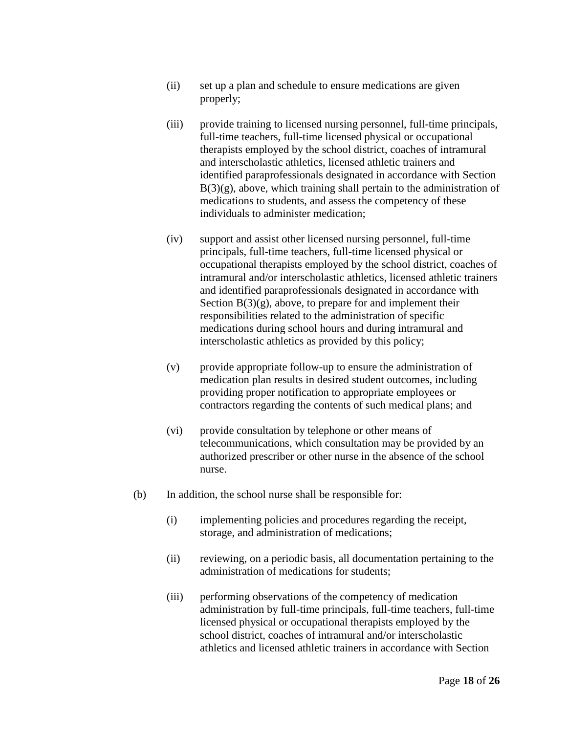- (ii) set up a plan and schedule to ensure medications are given properly;
- (iii) provide training to licensed nursing personnel, full-time principals, full-time teachers, full-time licensed physical or occupational therapists employed by the school district, coaches of intramural and interscholastic athletics, licensed athletic trainers and identified paraprofessionals designated in accordance with Section  $B(3)(g)$ , above, which training shall pertain to the administration of medications to students, and assess the competency of these individuals to administer medication;
- (iv) support and assist other licensed nursing personnel, full-time principals, full-time teachers, full-time licensed physical or occupational therapists employed by the school district, coaches of intramural and/or interscholastic athletics, licensed athletic trainers and identified paraprofessionals designated in accordance with Section  $B(3)(g)$ , above, to prepare for and implement their responsibilities related to the administration of specific medications during school hours and during intramural and interscholastic athletics as provided by this policy;
- (v) provide appropriate follow-up to ensure the administration of medication plan results in desired student outcomes, including providing proper notification to appropriate employees or contractors regarding the contents of such medical plans; and
- (vi) provide consultation by telephone or other means of telecommunications, which consultation may be provided by an authorized prescriber or other nurse in the absence of the school nurse.
- (b) In addition, the school nurse shall be responsible for:
	- (i) implementing policies and procedures regarding the receipt, storage, and administration of medications;
	- (ii) reviewing, on a periodic basis, all documentation pertaining to the administration of medications for students;
	- (iii) performing observations of the competency of medication administration by full-time principals, full-time teachers, full-time licensed physical or occupational therapists employed by the school district, coaches of intramural and/or interscholastic athletics and licensed athletic trainers in accordance with Section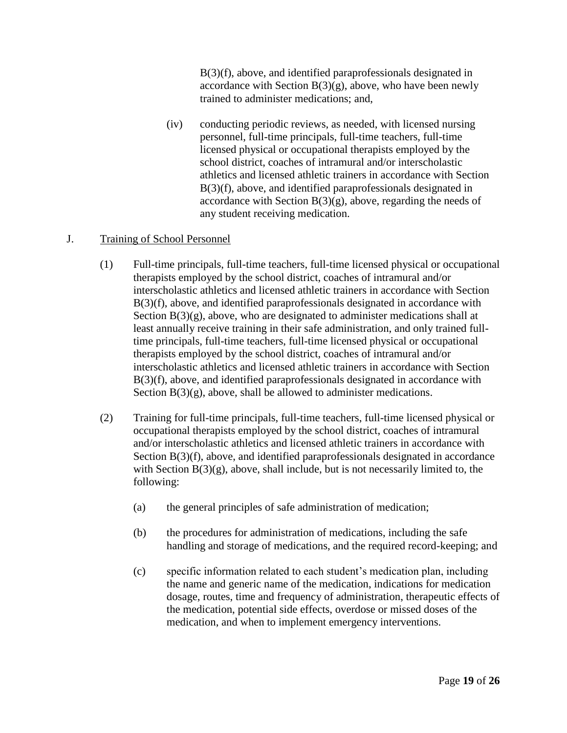B(3)(f), above, and identified paraprofessionals designated in accordance with Section  $B(3)(g)$ , above, who have been newly trained to administer medications; and,

(iv) conducting periodic reviews, as needed, with licensed nursing personnel, full-time principals, full-time teachers, full-time licensed physical or occupational therapists employed by the school district, coaches of intramural and/or interscholastic athletics and licensed athletic trainers in accordance with Section B(3)(f), above, and identified paraprofessionals designated in accordance with Section  $B(3)(g)$ , above, regarding the needs of any student receiving medication.

## J. Training of School Personnel

- (1) Full-time principals, full-time teachers, full-time licensed physical or occupational therapists employed by the school district, coaches of intramural and/or interscholastic athletics and licensed athletic trainers in accordance with Section B(3)(f), above, and identified paraprofessionals designated in accordance with Section  $B(3)(g)$ , above, who are designated to administer medications shall at least annually receive training in their safe administration, and only trained fulltime principals, full-time teachers, full-time licensed physical or occupational therapists employed by the school district, coaches of intramural and/or interscholastic athletics and licensed athletic trainers in accordance with Section B(3)(f), above, and identified paraprofessionals designated in accordance with Section  $B(3)(g)$ , above, shall be allowed to administer medications.
- (2) Training for full-time principals, full-time teachers, full-time licensed physical or occupational therapists employed by the school district, coaches of intramural and/or interscholastic athletics and licensed athletic trainers in accordance with Section B(3)(f), above, and identified paraprofessionals designated in accordance with Section  $B(3)(g)$ , above, shall include, but is not necessarily limited to, the following:
	- (a) the general principles of safe administration of medication;
	- (b) the procedures for administration of medications, including the safe handling and storage of medications, and the required record-keeping; and
	- (c) specific information related to each student's medication plan, including the name and generic name of the medication, indications for medication dosage, routes, time and frequency of administration, therapeutic effects of the medication, potential side effects, overdose or missed doses of the medication, and when to implement emergency interventions.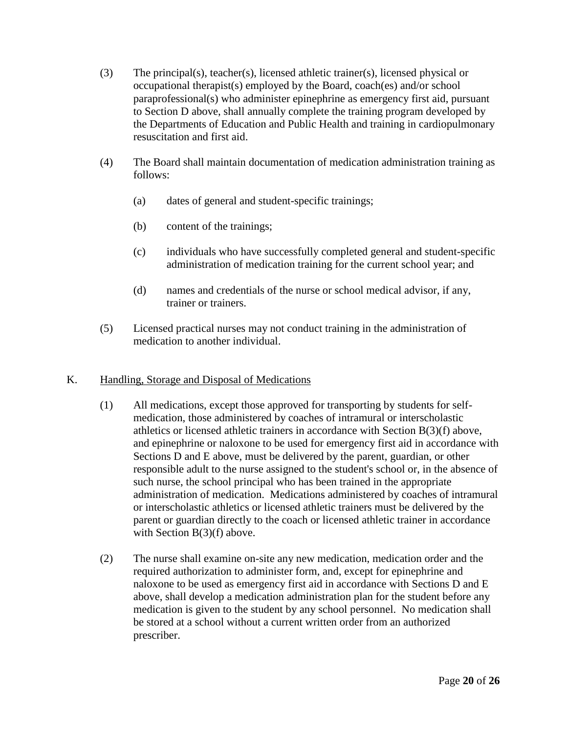- (3) The principal(s), teacher(s), licensed athletic trainer(s), licensed physical or occupational therapist(s) employed by the Board, coach(es) and/or school paraprofessional(s) who administer epinephrine as emergency first aid, pursuant to Section D above, shall annually complete the training program developed by the Departments of Education and Public Health and training in cardiopulmonary resuscitation and first aid.
- (4) The Board shall maintain documentation of medication administration training as follows:
	- (a) dates of general and student-specific trainings;
	- (b) content of the trainings;
	- (c) individuals who have successfully completed general and student-specific administration of medication training for the current school year; and
	- (d) names and credentials of the nurse or school medical advisor, if any, trainer or trainers.
- (5) Licensed practical nurses may not conduct training in the administration of medication to another individual.

# K. Handling, Storage and Disposal of Medications

- (1) All medications, except those approved for transporting by students for selfmedication, those administered by coaches of intramural or interscholastic athletics or licensed athletic trainers in accordance with Section B(3)(f) above, and epinephrine or naloxone to be used for emergency first aid in accordance with Sections D and E above, must be delivered by the parent, guardian, or other responsible adult to the nurse assigned to the student's school or, in the absence of such nurse, the school principal who has been trained in the appropriate administration of medication. Medications administered by coaches of intramural or interscholastic athletics or licensed athletic trainers must be delivered by the parent or guardian directly to the coach or licensed athletic trainer in accordance with Section B(3)(f) above.
- (2) The nurse shall examine on-site any new medication, medication order and the required authorization to administer form, and, except for epinephrine and naloxone to be used as emergency first aid in accordance with Sections D and E above, shall develop a medication administration plan for the student before any medication is given to the student by any school personnel. No medication shall be stored at a school without a current written order from an authorized prescriber.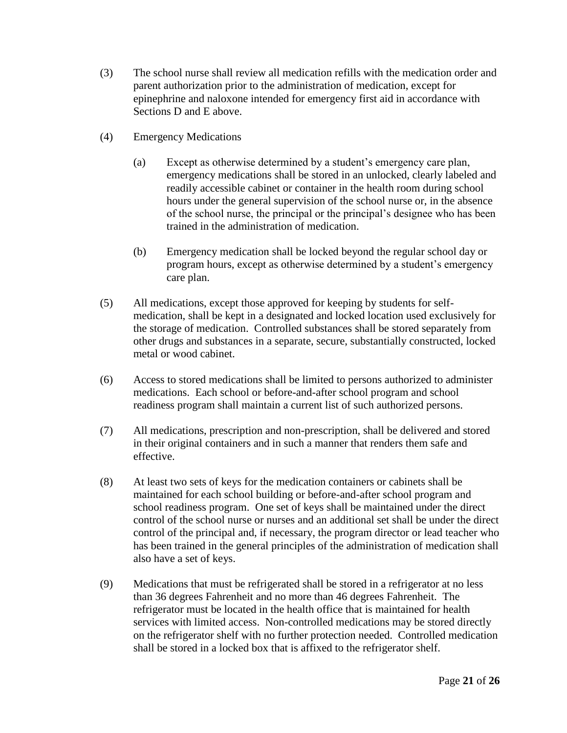- (3) The school nurse shall review all medication refills with the medication order and parent authorization prior to the administration of medication, except for epinephrine and naloxone intended for emergency first aid in accordance with Sections D and E above.
- (4) Emergency Medications
	- (a) Except as otherwise determined by a student's emergency care plan, emergency medications shall be stored in an unlocked, clearly labeled and readily accessible cabinet or container in the health room during school hours under the general supervision of the school nurse or, in the absence of the school nurse, the principal or the principal's designee who has been trained in the administration of medication.
	- (b) Emergency medication shall be locked beyond the regular school day or program hours, except as otherwise determined by a student's emergency care plan.
- (5) All medications, except those approved for keeping by students for selfmedication, shall be kept in a designated and locked location used exclusively for the storage of medication. Controlled substances shall be stored separately from other drugs and substances in a separate, secure, substantially constructed, locked metal or wood cabinet.
- (6) Access to stored medications shall be limited to persons authorized to administer medications. Each school or before-and-after school program and school readiness program shall maintain a current list of such authorized persons.
- (7) All medications, prescription and non-prescription, shall be delivered and stored in their original containers and in such a manner that renders them safe and effective.
- (8) At least two sets of keys for the medication containers or cabinets shall be maintained for each school building or before-and-after school program and school readiness program. One set of keys shall be maintained under the direct control of the school nurse or nurses and an additional set shall be under the direct control of the principal and, if necessary, the program director or lead teacher who has been trained in the general principles of the administration of medication shall also have a set of keys.
- (9) Medications that must be refrigerated shall be stored in a refrigerator at no less than 36 degrees Fahrenheit and no more than 46 degrees Fahrenheit. The refrigerator must be located in the health office that is maintained for health services with limited access. Non-controlled medications may be stored directly on the refrigerator shelf with no further protection needed. Controlled medication shall be stored in a locked box that is affixed to the refrigerator shelf.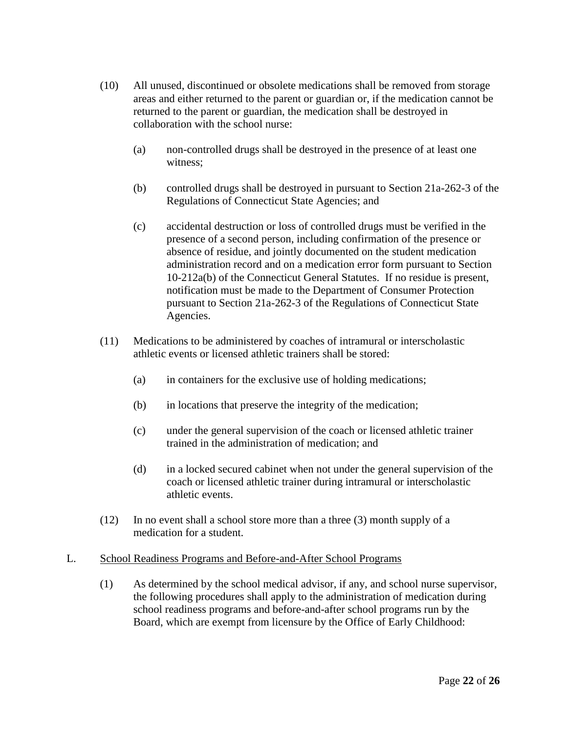- (10) All unused, discontinued or obsolete medications shall be removed from storage areas and either returned to the parent or guardian or, if the medication cannot be returned to the parent or guardian, the medication shall be destroyed in collaboration with the school nurse:
	- (a) non-controlled drugs shall be destroyed in the presence of at least one witness;
	- (b) controlled drugs shall be destroyed in pursuant to Section 21a-262-3 of the Regulations of Connecticut State Agencies; and
	- (c) accidental destruction or loss of controlled drugs must be verified in the presence of a second person, including confirmation of the presence or absence of residue, and jointly documented on the student medication administration record and on a medication error form pursuant to Section 10-212a(b) of the Connecticut General Statutes. If no residue is present, notification must be made to the Department of Consumer Protection pursuant to Section 21a-262-3 of the Regulations of Connecticut State Agencies.
- (11) Medications to be administered by coaches of intramural or interscholastic athletic events or licensed athletic trainers shall be stored:
	- (a) in containers for the exclusive use of holding medications;
	- (b) in locations that preserve the integrity of the medication;
	- (c) under the general supervision of the coach or licensed athletic trainer trained in the administration of medication; and
	- (d) in a locked secured cabinet when not under the general supervision of the coach or licensed athletic trainer during intramural or interscholastic athletic events.
- (12) In no event shall a school store more than a three (3) month supply of a medication for a student.

#### L. School Readiness Programs and Before-and-After School Programs

(1) As determined by the school medical advisor, if any, and school nurse supervisor, the following procedures shall apply to the administration of medication during school readiness programs and before-and-after school programs run by the Board, which are exempt from licensure by the Office of Early Childhood: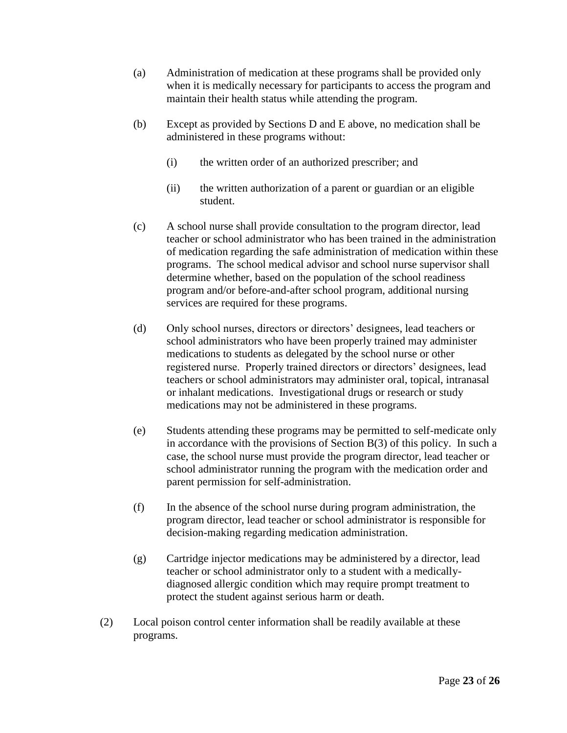- (a) Administration of medication at these programs shall be provided only when it is medically necessary for participants to access the program and maintain their health status while attending the program.
- (b) Except as provided by Sections D and E above, no medication shall be administered in these programs without:
	- (i) the written order of an authorized prescriber; and
	- (ii) the written authorization of a parent or guardian or an eligible student.
- (c) A school nurse shall provide consultation to the program director, lead teacher or school administrator who has been trained in the administration of medication regarding the safe administration of medication within these programs. The school medical advisor and school nurse supervisor shall determine whether, based on the population of the school readiness program and/or before-and-after school program, additional nursing services are required for these programs.
- (d) Only school nurses, directors or directors' designees, lead teachers or school administrators who have been properly trained may administer medications to students as delegated by the school nurse or other registered nurse. Properly trained directors or directors' designees, lead teachers or school administrators may administer oral, topical, intranasal or inhalant medications. Investigational drugs or research or study medications may not be administered in these programs.
- (e) Students attending these programs may be permitted to self-medicate only in accordance with the provisions of Section B(3) of this policy. In such a case, the school nurse must provide the program director, lead teacher or school administrator running the program with the medication order and parent permission for self-administration.
- (f) In the absence of the school nurse during program administration, the program director, lead teacher or school administrator is responsible for decision-making regarding medication administration.
- (g) Cartridge injector medications may be administered by a director, lead teacher or school administrator only to a student with a medicallydiagnosed allergic condition which may require prompt treatment to protect the student against serious harm or death.
- (2) Local poison control center information shall be readily available at these programs.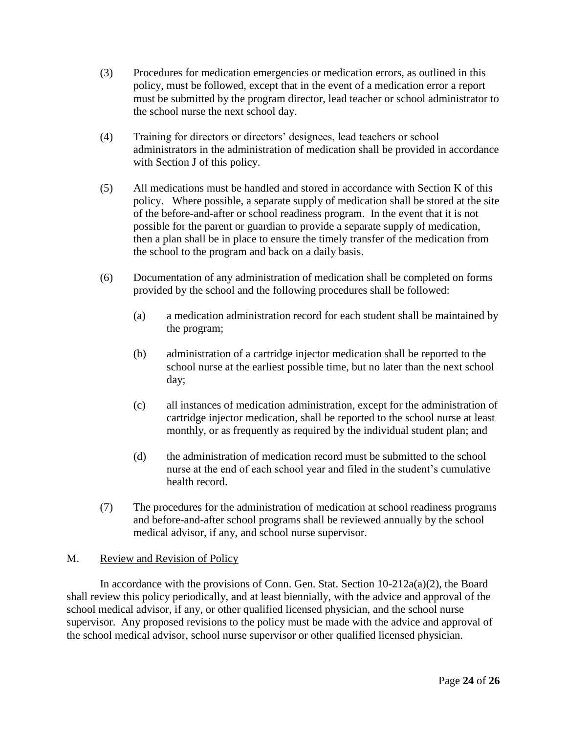- (3) Procedures for medication emergencies or medication errors, as outlined in this policy, must be followed, except that in the event of a medication error a report must be submitted by the program director, lead teacher or school administrator to the school nurse the next school day.
- (4) Training for directors or directors' designees, lead teachers or school administrators in the administration of medication shall be provided in accordance with Section J of this policy.
- (5) All medications must be handled and stored in accordance with Section K of this policy. Where possible, a separate supply of medication shall be stored at the site of the before-and-after or school readiness program. In the event that it is not possible for the parent or guardian to provide a separate supply of medication, then a plan shall be in place to ensure the timely transfer of the medication from the school to the program and back on a daily basis.
- (6) Documentation of any administration of medication shall be completed on forms provided by the school and the following procedures shall be followed:
	- (a) a medication administration record for each student shall be maintained by the program;
	- (b) administration of a cartridge injector medication shall be reported to the school nurse at the earliest possible time, but no later than the next school day;
	- (c) all instances of medication administration, except for the administration of cartridge injector medication, shall be reported to the school nurse at least monthly, or as frequently as required by the individual student plan; and
	- (d) the administration of medication record must be submitted to the school nurse at the end of each school year and filed in the student's cumulative health record.
- (7) The procedures for the administration of medication at school readiness programs and before-and-after school programs shall be reviewed annually by the school medical advisor, if any, and school nurse supervisor.

# M. Review and Revision of Policy

In accordance with the provisions of Conn. Gen. Stat. Section 10-212a(a)(2), the Board shall review this policy periodically, and at least biennially, with the advice and approval of the school medical advisor, if any, or other qualified licensed physician, and the school nurse supervisor. Any proposed revisions to the policy must be made with the advice and approval of the school medical advisor, school nurse supervisor or other qualified licensed physician.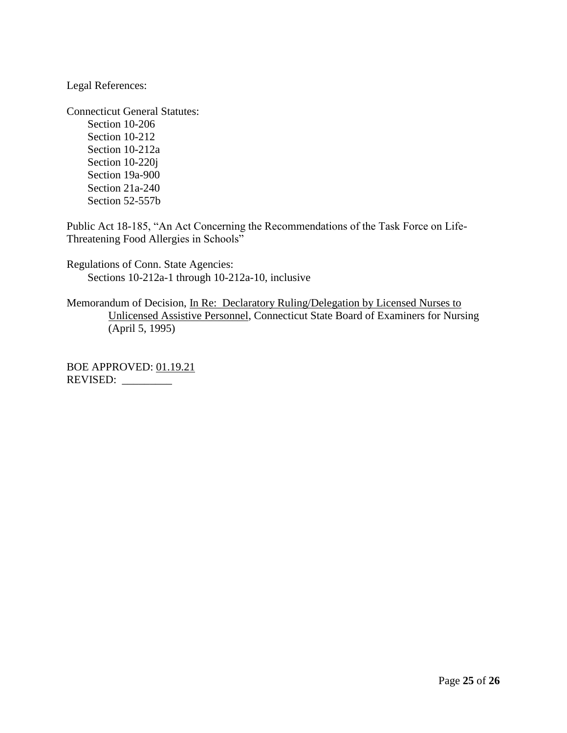Legal References:

Connecticut General Statutes: Section 10-206 Section 10-212 Section 10-212a Section 10-220j Section 19a-900 Section 21a-240 Section 52-557b

Public Act 18-185, "An Act Concerning the Recommendations of the Task Force on Life-Threatening Food Allergies in Schools"

Regulations of Conn. State Agencies: Sections 10-212a-1 through 10-212a-10, inclusive

Memorandum of Decision, In Re: Declaratory Ruling/Delegation by Licensed Nurses to Unlicensed Assistive Personnel, Connecticut State Board of Examiners for Nursing (April 5, 1995)

BOE APPROVED: 01.19.21 REVISED: \_\_\_\_\_\_\_\_\_